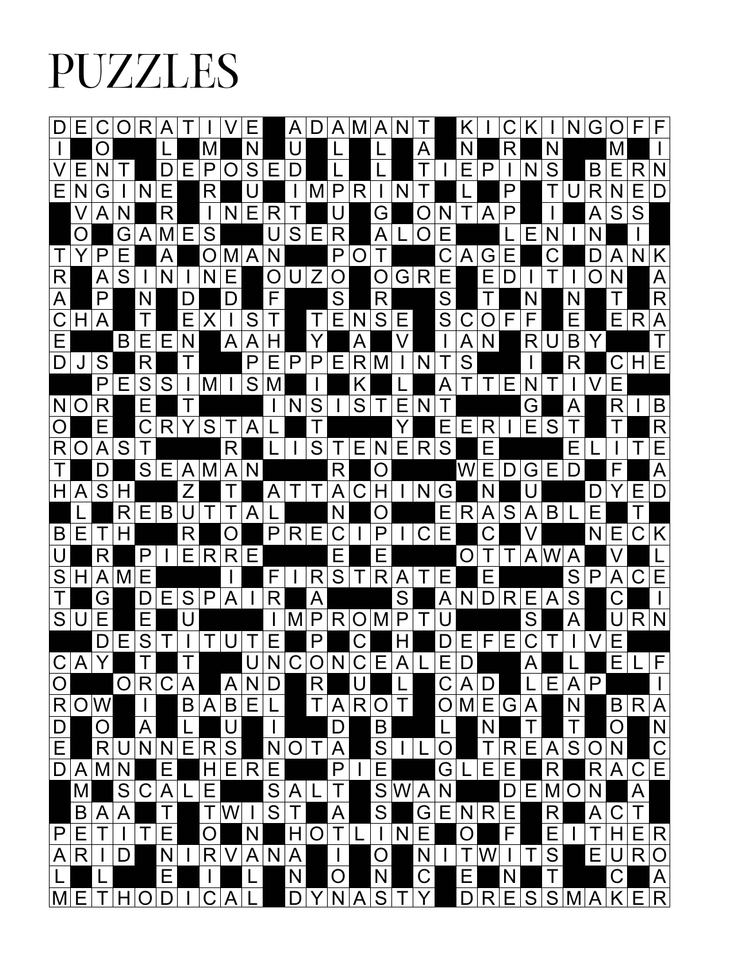## PUZZLES